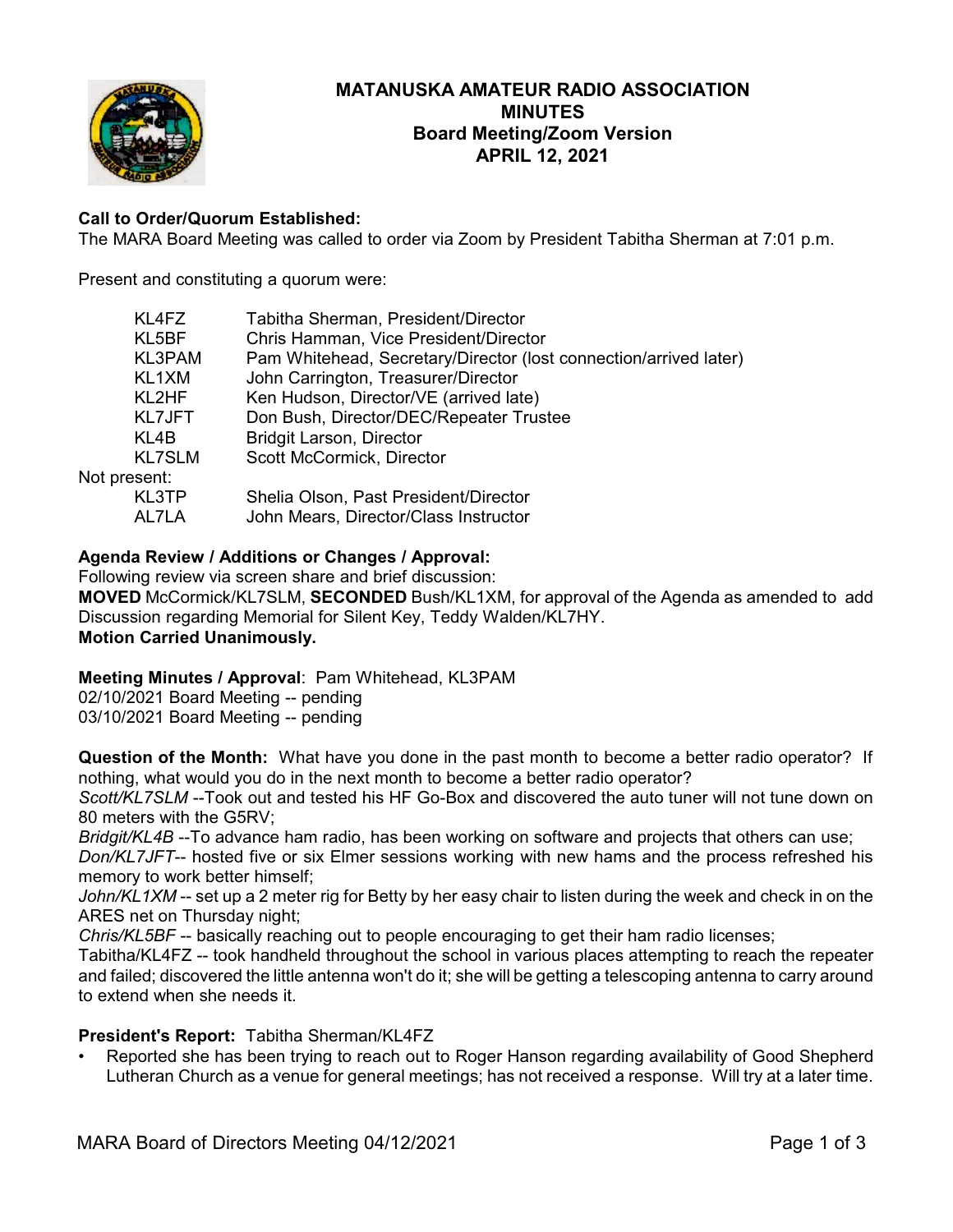

# **MATANUSKA AMATEUR RADIO ASSOCIATION MINUTES Board Meeting/Zoom Version APRIL 12, 2021**

# **Call to Order/Quorum Established:**

The MARA Board Meeting was called to order via Zoom by President Tabitha Sherman at 7:01 p.m.

Present and constituting a quorum were:

| KL4FZ         | Tabitha Sherman, President/Director                               |
|---------------|-------------------------------------------------------------------|
| KL5BF         | Chris Hamman, Vice President/Director                             |
| KL3PAM        | Pam Whitehead, Secretary/Director (lost connection/arrived later) |
| KL1XM         | John Carrington, Treasurer/Director                               |
| KL2HF         | Ken Hudson, Director/VE (arrived late)                            |
| <b>KL7JFT</b> | Don Bush, Director/DEC/Repeater Trustee                           |
| KL4B          | <b>Bridgit Larson, Director</b>                                   |
| <b>KL7SLM</b> | Scott McCormick, Director                                         |
| Not present:  |                                                                   |
| KL3TP         | Shelia Olson, Past President/Director                             |
| AL7LA         | John Mears, Director/Class Instructor                             |
|               |                                                                   |

# **Agenda Review / Additions or Changes / Approval:**

Following review via screen share and brief discussion: **MOVED** McCormick/KL7SLM, **SECONDED** Bush/KL1XM, for approval of the Agenda as amended to add Discussion regarding Memorial for Silent Key, Teddy Walden/KL7HY. **Motion Carried Unanimously.**

**Meeting Minutes / Approval**: Pam Whitehead, KL3PAM

02/10/2021 Board Meeting -- pending 03/10/2021 Board Meeting -- pending

**Question of the Month:** What have you done in the past month to become a better radio operator? If nothing, what would you do in the next month to become a better radio operator?

*Scott/KL7SLM* --Took out and tested his HF Go-Box and discovered the auto tuner will not tune down on 80 meters with the G5RV;

*Bridgit/KL4B* --To advance ham radio, has been working on software and projects that others can use;

*Don/KL7JFT*-- hosted five or six Elmer sessions working with new hams and the process refreshed his memory to work better himself;

*John/KL1XM* -- set up a 2 meter rig for Betty by her easy chair to listen during the week and check in on the ARES net on Thursday night;

*Chris/KL5BF* -- basically reaching out to people encouraging to get their ham radio licenses;

Tabitha/KL4FZ -- took handheld throughout the school in various places attempting to reach the repeater and failed; discovered the little antenna won't do it; she will be getting a telescoping antenna to carry around to extend when she needs it.

# **President's Report:** Tabitha Sherman/KL4FZ

• Reported she has been trying to reach out to Roger Hanson regarding availability of Good Shepherd Lutheran Church as a venue for general meetings; has not received a response. Will try at a later time.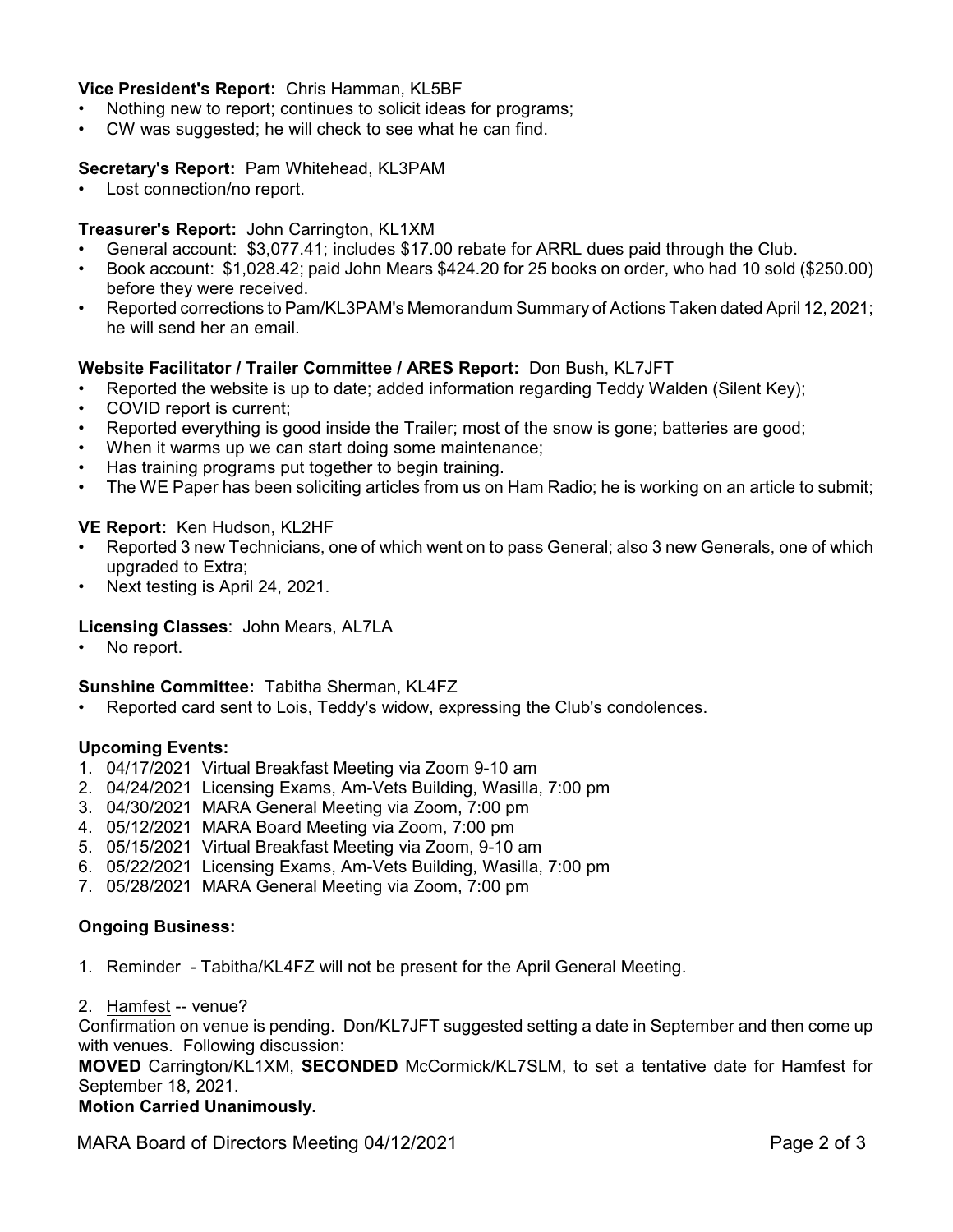# **Vice President's Report:** Chris Hamman, KL5BF

- Nothing new to report; continues to solicit ideas for programs;
- CW was suggested; he will check to see what he can find.

#### **Secretary's Report:** Pam Whitehead, KL3PAM

• Lost connection/no report.

#### **Treasurer's Report:** John Carrington, KL1XM

- General account: \$3,077.41; includes \$17.00 rebate for ARRL dues paid through the Club.
- Book account: \$1,028.42; paid John Mears \$424.20 for 25 books on order, who had 10 sold (\$250.00) before they were received.
- Reported corrections to Pam/KL3PAM's Memorandum Summary of Actions Taken dated April 12, 2021; he will send her an email.

# **Website Facilitator / Trailer Committee / ARES Report:** Don Bush, KL7JFT

- Reported the website is up to date; added information regarding Teddy Walden (Silent Key);
- COVID report is current;
- Reported everything is good inside the Trailer; most of the snow is gone; batteries are good;
- When it warms up we can start doing some maintenance;
- Has training programs put together to begin training.
- The WE Paper has been soliciting articles from us on Ham Radio; he is working on an article to submit;

#### **VE Report:** Ken Hudson, KL2HF

- Reported 3 new Technicians, one of which went on to pass General; also 3 new Generals, one of which upgraded to Extra;
- Next testing is April 24, 2021.

# **Licensing Classes**: John Mears, AL7LA

• No report.

#### **Sunshine Committee:** Tabitha Sherman, KL4FZ

• Reported card sent to Lois, Teddy's widow, expressing the Club's condolences.

#### **Upcoming Events:**

- 1. 04/17/2021 Virtual Breakfast Meeting via Zoom 9-10 am
- 2. 04/24/2021 Licensing Exams, Am-Vets Building, Wasilla, 7:00 pm
- 3. 04/30/2021 MARA General Meeting via Zoom, 7:00 pm
- 4. 05/12/2021 MARA Board Meeting via Zoom, 7:00 pm
- 5. 05/15/2021 Virtual Breakfast Meeting via Zoom, 9-10 am
- 6. 05/22/2021 Licensing Exams, Am-Vets Building, Wasilla, 7:00 pm
- 7. 05/28/2021 MARA General Meeting via Zoom, 7:00 pm

# **Ongoing Business:**

- 1. Reminder Tabitha/KL4FZ will not be present for the April General Meeting.
- 2. Hamfest -- venue?

Confirmation on venue is pending. Don/KL7JFT suggested setting a date in September and then come up with venues. Following discussion:

**MOVED** Carrington/KL1XM, **SECONDED** McCormick/KL7SLM, to set a tentative date for Hamfest for September 18, 2021.

#### **Motion Carried Unanimously.**

MARA Board of Directors Meeting 04/12/2021 **Page 2 of 3**